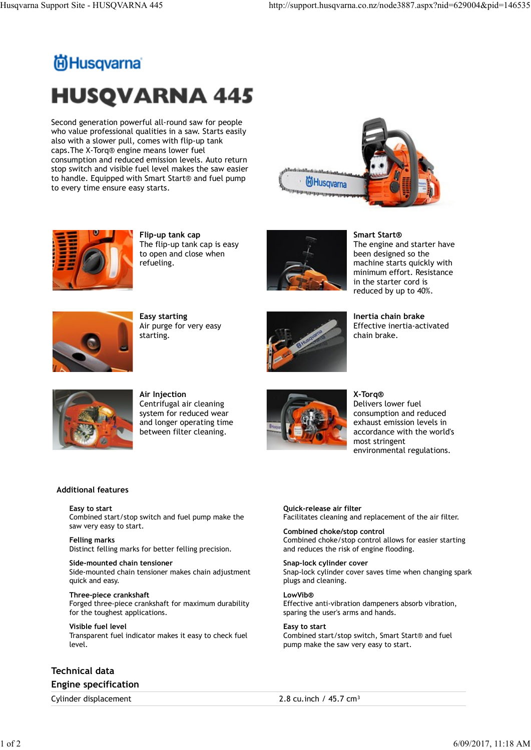## Husqvarna Support Site - HUSQVARNA 445 http://support.husqvarna.co.nz/node3887.aspx?nid=629004&pid=146535<br>http://support.husqvarna.co.nz/node3887.aspx?nid=629004&pid=146535<br>**http://support**.husqvarna.co.nz/node3887.aspx?ni **HUSQVARNA 445**

Second generation powerful all-round saw for people who value professional qualities in a saw. Starts easily also with a slower pull, comes with flip-up tank caps.The X-Torq® engine means lower fuel consumption and reduced emission levels. Auto return stop switch and visible fuel level makes the saw easier to handle. Equipped with Smart Start® and fuel pump<br>
Thusqvama to every time ensure easy starts.





Flip-up tank cap The flip-up tank cap is easy to open and close when refueling.



Smart Start® The engine and starter have been designed so the machine starts quickly with minimum effort. Resistance in the starter cord is reduced by up to 40%.



Easy starting Air purge for very easy starting.



Inertia chain brake Effective inertia-activated chain brake.



Air Injection Centrifugal air cleaning system for reduced wear and longer operating time between filter cleaning.



X-Torq® Delivers lower fuel consumption and reduced exhaust emission levels in accordance with the world's most stringent environmental regulations.

## Additional features

Easy to start Combined start/stop switch and fuel pump make the saw very easy to start.

Felling marks Distinct felling marks for better felling precision.

Side-mounted chain tensioner Side-mounted chain tensioner makes chain adjustment quick and easy.

Three-piece crankshaft Forged three-piece crankshaft for maximum durability for the toughest applications.

Visible fuel level Transparent fuel indicator makes it easy to check fuel level.

Technical data Engine specification

Quick-release air filter Facilitates cleaning and replacement of the air filter.

Combined choke/stop control Combined choke/stop control allows for easier starting and reduces the risk of engine flooding.

Snap-lock cylinder cover Snap-lock cylinder cover saves time when changing spark plugs and cleaning. Additional features<br>
Easy to start<br>
Combined start/stop switch and fuel pump make the<br>
Saw to start<br>
Combined choke/stop control<br>
Felling marks<br>
Felling marks<br>
District felling marks for better felling precision.<br>
Combine Combined start/stop switch and fuel pump make the<br>
saw wey easy to start. Combined chook-stop control allows for easier starting<br>
Felling marks<br>
District felling marks<br>
District felling marks<br>
District felling marks<br>
Distr

LowVib® Effective anti-vibration dampeners absorb vibration, sparing the user's arms and hands.

Easy to start Combined start/stop switch, Smart Start® and fuel pump make the saw very easy to start.